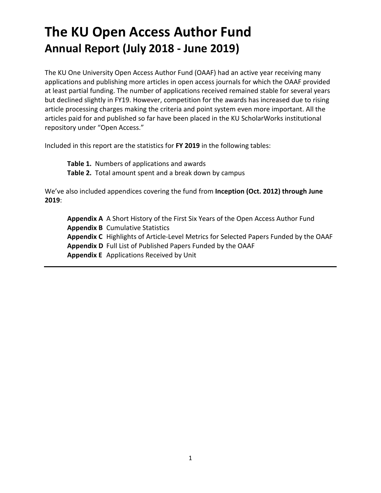# **The KU Open Access Author Fund Annual Report (July 2018 - June 2019)**

The KU One University Open Access Author Fund (OAAF) had an active year receiving many applications and publishing more articles in open access journals for which the OAAF provided at least partial funding. The number of applications received remained stable for several years but declined slightly in FY19. However, competition for the awards has increased due to rising article processing charges making the criteria and point system even more important. All the articles paid for and published so far have been placed in the KU ScholarWorks institutional repository under "Open Access."

Included in this report are the statistics for **FY 2019** in the following tables:

**Table 1.** Numbers of applications and awards **Table 2.** Total amount spent and a break down by campus

We've also included appendices covering the fund from **Inception (Oct. 2012) through June 2019**:

**Appendix A** A Short History of the First Six Years of the Open Access Author Fund **Appendix B** Cumulative Statistics **Appendix C** Highlights of Article-Level Metrics for Selected Papers Funded by the OAAF **Appendix D** Full List of Published Papers Funded by the OAAF **Appendix E** Applications Received by Unit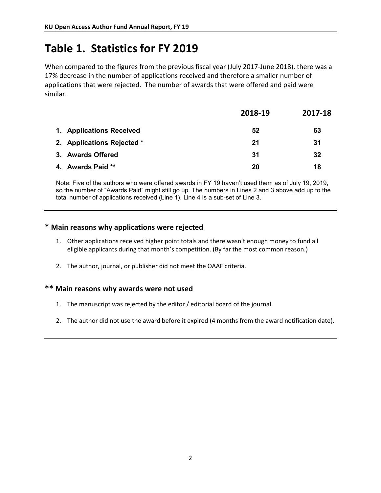## **Table 1. Statistics for FY 2019**

When compared to the figures from the previous fiscal year (July 2017-June 2018), there was a 17% decrease in the number of applications received and therefore a smaller number of applications that were rejected. The number of awards that were offered and paid were similar.

|                            | 2018-19 | 2017-18 |
|----------------------------|---------|---------|
| 1. Applications Received   | 52      | 63      |
| 2. Applications Rejected * | 21      | 31      |
| 3. Awards Offered          | 31      | 32      |
| 4. Awards Paid **          | 20      | 18      |

Note: Five of the authors who were offered awards in FY 19 haven't used them as of July 19, 2019, so the number of "Awards Paid" might still go up. The numbers in Lines 2 and 3 above add up to the total number of applications received (Line 1). Line 4 is a sub-set of Line 3.

#### **\* Main reasons why applications were rejected**

- 1. Other applications received higher point totals and there wasn't enough money to fund all eligible applicants during that month's competition. (By far the most common reason.)
- 2. The author, journal, or publisher did not meet the OAAF criteria.

#### **\*\* Main reasons why awards were not used**

- 1. The manuscript was rejected by the editor / editorial board of the journal.
- 2. The author did not use the award before it expired (4 months from the award notification date).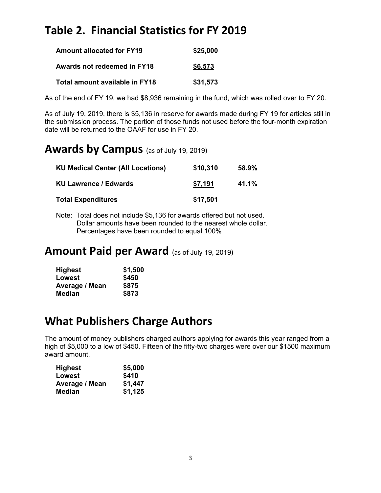## **Table 2. Financial Statistics for FY 2019**

| <b>Amount allocated for FY19</b> | \$25,000 |
|----------------------------------|----------|
| Awards not redeemed in FY18      | \$6,573  |
| Total amount available in FY18   | \$31,573 |

As of the end of FY 19, we had \$8,936 remaining in the fund, which was rolled over to FY 20.

As of July 19, 2019, there is \$5,136 in reserve for awards made during FY 19 for articles still in the submission process. The portion of those funds not used before the four-month expiration date will be returned to the OAAF for use in FY 20.

## **Awards by Campus** (as of July 19, 2019)

| <b>KU Medical Center (All Locations)</b> | \$10,310 | 58.9% |
|------------------------------------------|----------|-------|
| <b>KU Lawrence / Edwards</b>             | \$7,191  | 41.1% |
| <b>Total Expenditures</b>                | \$17,501 |       |

Note: Total does not include \$5,136 for awards offered but not used. Dollar amounts have been rounded to the nearest whole dollar. Percentages have been rounded to equal 100%

### **Amount Paid per Award** (as of July 19, 2019)

| <b>Highest</b> | \$1,500 |
|----------------|---------|
| Lowest         | \$450   |
| Average / Mean | \$875   |
| Median         | \$873   |

## **What Publishers Charge Authors**

The amount of money publishers charged authors applying for awards this year ranged from a high of \$5,000 to a low of \$450. Fifteen of the fifty-two charges were over our \$1500 maximum award amount.

| <b>Highest</b> | \$5,000 |
|----------------|---------|
| Lowest         | \$410   |
| Average / Mean | \$1,447 |
| <b>Median</b>  | \$1,125 |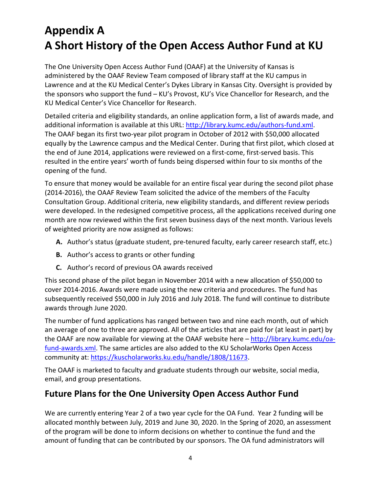# **Appendix A A Short History of the Open Access Author Fund at KU**

The One University Open Access Author Fund (OAAF) at the University of Kansas is administered by the OAAF Review Team composed of library staff at the KU campus in Lawrence and at the KU Medical Center's Dykes Library in Kansas City. Oversight is provided by the sponsors who support the fund – KU's Provost, KU's Vice Chancellor for Research, and the KU Medical Center's Vice Chancellor for Research.

Detailed criteria and eligibility standards, an online application form, a list of awards made, and additional information is available at this URL[: http://library.kumc.edu/authors-fund.xml.](http://library.kumc.edu/authors-fund.xml) The OAAF began its first two-year pilot program in October of 2012 with \$50,000 allocated equally by the Lawrence campus and the Medical Center. During that first pilot, which closed at the end of June 2014, applications were reviewed on a first-come, first-served basis. This resulted in the entire years' worth of funds being dispersed within four to six months of the opening of the fund.

To ensure that money would be available for an entire fiscal year during the second pilot phase (2014-2016), the OAAF Review Team solicited the advice of the members of the Faculty Consultation Group. Additional criteria, new eligibility standards, and different review periods were developed. In the redesigned competitive process, all the applications received during one month are now reviewed within the first seven business days of the next month. Various levels of weighted priority are now assigned as follows:

- **A.** Author's status (graduate student, pre-tenured faculty, early career research staff, etc.)
- **B.** Author's access to grants or other funding
- **C.** Author's record of previous OA awards received

This second phase of the pilot began in November 2014 with a new allocation of \$50,000 to cover 2014-2016. Awards were made using the new criteria and procedures. The fund has subsequently received \$50,000 in July 2016 and July 2018. The fund will continue to distribute awards through June 2020.

The number of fund applications has ranged between two and nine each month, out of which an average of one to three are approved. All of the articles that are paid for (at least in part) by the OAAF are now available for viewing at the OAAF website here – [http://library.kumc.edu/oa](http://library.kumc.edu/oa-fund-awards.xml)[fund-awards.xml.](http://library.kumc.edu/oa-fund-awards.xml) The same articles are also added to the KU ScholarWorks Open Access community at: [https://kuscholarworks.ku.edu/handle/1808/11673.](https://kuscholarworks.ku.edu/handle/1808/11673)

The OAAF is marketed to faculty and graduate students through our website, social media, email, and group presentations.

### **Future Plans for the One University Open Access Author Fund**

We are currently entering Year 2 of a two year cycle for the OA Fund. Year 2 funding will be allocated monthly between July, 2019 and June 30, 2020. In the Spring of 2020, an assessment of the program will be done to inform decisions on whether to continue the fund and the amount of funding that can be contributed by our sponsors. The OA fund administrators will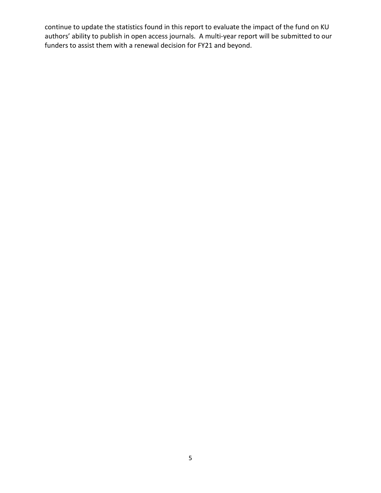continue to update the statistics found in this report to evaluate the impact of the fund on KU authors' ability to publish in open access journals. A multi-year report will be submitted to our funders to assist them with a renewal decision for FY21 and beyond.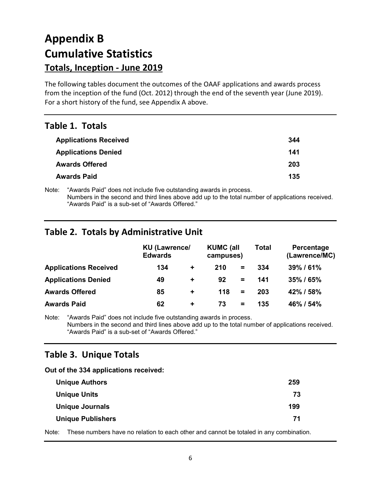# **Appendix B Cumulative Statistics Totals, Inception - June 2019**

The following tables document the outcomes of the OAAF applications and awards process from the inception of the fund (Oct. 2012) through the end of the seventh year (June 2019). For a short history of the fund, see Appendix A above.

### **Table 1. Totals**

| <b>Applications Received</b> | 344 |
|------------------------------|-----|
| <b>Applications Denied</b>   | 141 |
| <b>Awards Offered</b>        | 203 |
| <b>Awards Paid</b>           | 135 |

Note: "Awards Paid" does not include five outstanding awards in process. Numbers in the second and third lines above add up to the total number of applications received. "Awards Paid" is a sub-set of "Awards Offered."

### **Table 2. Totals by Administrative Unit**

|                              | <b>KU (Lawrence/</b><br><b>Edwards</b> |                      | <b>KUMC (all</b><br>campuses) |          | <b>Total</b> | Percentage<br>(Lawrence/MC) |
|------------------------------|----------------------------------------|----------------------|-------------------------------|----------|--------------|-----------------------------|
| <b>Applications Received</b> | 134                                    | $\ddot{\phantom{1}}$ | 210                           | $=$      | 334          | 39%/61%                     |
| <b>Applications Denied</b>   | 49                                     | $\ddot{}$            | 92                            | $=$      | 141          | 35% / 65%                   |
| <b>Awards Offered</b>        | 85                                     | $\ddot{}$            | 118                           | $\equiv$ | 203          | 42% / 58%                   |
| <b>Awards Paid</b>           | 62                                     | $\ddot{}$            | 73                            | $=$      | 135          | 46% / 54%                   |

Note: "Awards Paid" does not include five outstanding awards in process. Numbers in the second and third lines above add up to the total number of applications received. "Awards Paid" is a sub-set of "Awards Offered."

### **Table 3. Unique Totals**

**Out of the 334 applications received:**

| 259 |
|-----|
| 73  |
| 199 |
| 71  |
|     |

Note: These numbers have no relation to each other and cannot be totaled in any combination.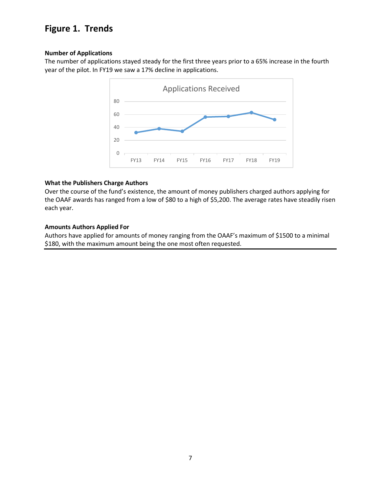### **Figure 1. Trends**

#### **Number of Applications**

The number of applications stayed steady for the first three years prior to a 65% increase in the fourth year of the pilot. In FY19 we saw a 17% decline in applications.



#### **What the Publishers Charge Authors**

Over the course of the fund's existence, the amount of money publishers charged authors applying for the OAAF awards has ranged from a low of \$80 to a high of \$5,200. The average rates have steadily risen each year.

#### **Amounts Authors Applied For**

Authors have applied for amounts of money ranging from the OAAF's maximum of \$1500 to a minimal \$180, with the maximum amount being the one most often requested.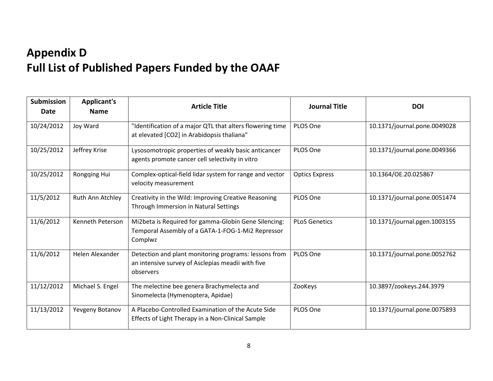# **Appendix D Full List of Published Papers Funded by the OAAF**

| <b>Submission</b><br>Date | <b>Applicant's</b><br><b>Name</b> | <b>Article Title</b>                                                                                                    | <b>Journal Title</b>  | <b>DOI</b>                   |
|---------------------------|-----------------------------------|-------------------------------------------------------------------------------------------------------------------------|-----------------------|------------------------------|
| 10/24/2012                | Joy Ward                          | "Identification of a major QTL that alters flowering time<br>at elevated [CO2] in Arabidopsis thaliana"                 | PLOS One              | 10.1371/journal.pone.0049028 |
| 10/25/2012                | Jeffrey Krise                     | Lysosomotropic properties of weakly basic anticancer<br>agents promote cancer cell selectivity in vitro                 | PLOS One              | 10.1371/journal.pone.0049366 |
| 10/25/2012                | Rongqing Hui                      | Complex-optical-field lidar system for range and vector<br>velocity measurement                                         | <b>Optics Express</b> | 10.1364/OE.20.025867         |
| 11/5/2012                 | Ruth Ann Atchley                  | Creativity in the Wild: Improving Creative Reasoning<br>Through Immersion in Natural Settings                           | PLOS One              | 10.1371/journal.pone.0051474 |
| 11/6/2012                 | Kenneth Peterson                  | Mi2beta is Required for gamma-Globin Gene Silencing:<br>Temporal Assembly of a GATA-1-FOG-1-Mi2 Repressor<br>Complwz    | <b>PLoS Genetics</b>  | 10.1371/journal.pgen.1003155 |
| 11/6/2012                 | Helen Alexander                   | Detection and plant monitoring programs: lessons from<br>an intensive survey of Asclepias meadii with five<br>observers | PLOS One              | 10.1371/journal.pone.0052762 |
| 11/12/2012                | Michael S. Engel                  | The melectine bee genera Brachymelecta and<br>Sinomelecta (Hymenoptera, Apidae)                                         | ZooKeys               | 10.3897/zookeys.244.3979     |
| 11/13/2012                | Yevgeny Botanov                   | A Placebo-Controlled Examination of the Acute Side<br>Effects of Light Therapy in a Non-Clinical Sample                 | PLOS One              | 10.1371/journal.pone.0075893 |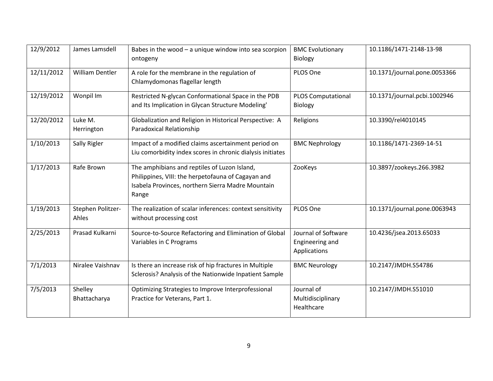| 12/9/2012  | James Lamsdell             | Babes in the wood $-$ a unique window into sea scorpion<br>ontogeny                                                                                              | <b>BMC Evolutionary</b><br>Biology                     | 10.1186/1471-2148-13-98      |
|------------|----------------------------|------------------------------------------------------------------------------------------------------------------------------------------------------------------|--------------------------------------------------------|------------------------------|
| 12/11/2012 | <b>William Dentler</b>     | A role for the membrane in the regulation of<br>Chlamydomonas flagellar length                                                                                   | PLOS One                                               | 10.1371/journal.pone.0053366 |
| 12/19/2012 | Wonpil Im                  | Restricted N-glycan Conformational Space in the PDB<br>and Its Implication in Glycan Structure Modeling'                                                         | <b>PLOS Computational</b><br><b>Biology</b>            | 10.1371/journal.pcbi.1002946 |
| 12/20/2012 | Luke M.<br>Herrington      | Globalization and Religion in Historical Perspective: A<br>Paradoxical Relationship                                                                              | Religions                                              | 10.3390/rel4010145           |
| 1/10/2013  | Sally Rigler               | Impact of a modified claims ascertainment period on<br>Liu comorbidity index scores in chronic dialysis initiates                                                | <b>BMC Nephrology</b>                                  | 10.1186/1471-2369-14-51      |
| 1/17/2013  | Rafe Brown                 | The amphibians and reptiles of Luzon Island,<br>Philippines, VIII: the herpetofauna of Cagayan and<br>Isabela Provinces, northern Sierra Madre Mountain<br>Range | ZooKeys                                                | 10.3897/zookeys.266.3982     |
| 1/19/2013  | Stephen Politzer-<br>Ahles | The realization of scalar inferences: context sensitivity<br>without processing cost                                                                             | PLOS One                                               | 10.1371/journal.pone.0063943 |
| 2/25/2013  | Prasad Kulkarni            | Source-to-Source Refactoring and Elimination of Global<br>Variables in C Programs                                                                                | Journal of Software<br>Engineering and<br>Applications | 10.4236/jsea.2013.65033      |
| 7/1/2013   | Niralee Vaishnav           | Is there an increase risk of hip fractures in Multiple<br>Sclerosis? Analysis of the Nationwide Inpatient Sample                                                 | <b>BMC Neurology</b>                                   | 10.2147/JMDH.S54786          |
| 7/5/2013   | Shelley<br>Bhattacharya    | Optimizing Strategies to Improve Interprofessional<br>Practice for Veterans, Part 1.                                                                             | Journal of<br>Multidisciplinary<br>Healthcare          | 10.2147/JMDH.S51010          |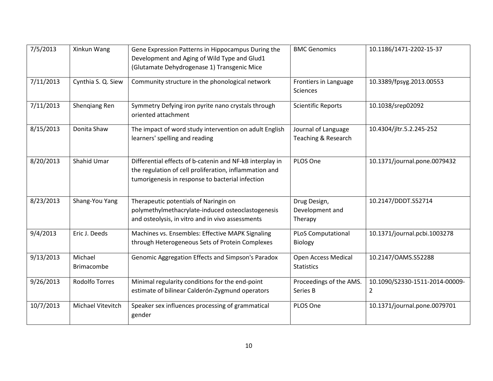| 7/5/2013  | Xinkun Wang                  | Gene Expression Patterns in Hippocampus During the<br>Development and Aging of Wild Type and Glud1<br>(Glutamate Dehydrogenase 1) Transgenic Mice                      | <b>BMC Genomics</b>                         | 10.1186/1471-2202-15-37                          |
|-----------|------------------------------|------------------------------------------------------------------------------------------------------------------------------------------------------------------------|---------------------------------------------|--------------------------------------------------|
| 7/11/2013 | Cynthia S. Q. Siew           | Community structure in the phonological network                                                                                                                        | Frontiers in Language<br><b>Sciences</b>    | 10.3389/fpsyg.2013.00553                         |
| 7/11/2013 | Shengiang Ren                | Symmetry Defying iron pyrite nano crystals through<br>oriented attachment                                                                                              | <b>Scientific Reports</b>                   | 10.1038/srep02092                                |
| 8/15/2013 | Donita Shaw                  | The impact of word study intervention on adult English<br>learners' spelling and reading                                                                               | Journal of Language<br>Teaching & Research  | 10.4304/jltr.5.2.245-252                         |
| 8/20/2013 | Shahid Umar                  | Differential effects of b-catenin and NF-kB interplay in<br>the regulation of cell proliferation, inflammation and<br>tumorigenesis in response to bacterial infection | PLOS One                                    | 10.1371/journal.pone.0079432                     |
| 8/23/2013 | Shang-You Yang               | Therapeutic potentials of Naringin on<br>polymethylmethacrylate-induced osteoclastogenesis<br>and osteolysis, in vitro and in vivo assessments                         | Drug Design,<br>Development and<br>Therapy  | 10.2147/DDDT.S52714                              |
| 9/4/2013  | Eric J. Deeds                | Machines vs. Ensembles: Effective MAPK Signaling<br>through Heterogeneous Sets of Protein Complexes                                                                    | <b>PLoS Computational</b><br><b>Biology</b> | 10.1371/journal.pcbi.1003278                     |
| 9/13/2013 | Michael<br><b>Brimacombe</b> | Genomic Aggregation Effects and Simpson's Paradox                                                                                                                      | Open Access Medical<br><b>Statistics</b>    | 10.2147/OAMS.S52288                              |
| 9/26/2013 | <b>Rodolfo Torres</b>        | Minimal regularity conditions for the end-point<br>estimate of bilinear Calderón-Zygmund operators                                                                     | Proceedings of the AMS.<br>Series B         | 10.1090/S2330-1511-2014-00009-<br>$\overline{2}$ |
| 10/7/2013 | Michael Vitevitch            | Speaker sex influences processing of grammatical<br>gender                                                                                                             | PLOS One                                    | 10.1371/journal.pone.0079701                     |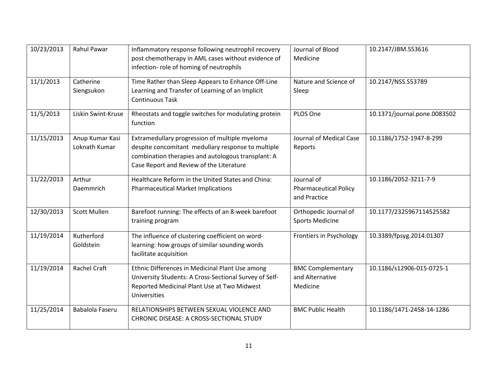| 10/23/2013 | <b>Rahul Pawar</b>               | Inflammatory response following neutrophil recovery<br>post chemotherapy in AML cases without evidence of<br>infection- role of homing of neutrophils                                                  | Journal of Blood<br>Medicine                               | 10.2147/JBM.S53616           |
|------------|----------------------------------|--------------------------------------------------------------------------------------------------------------------------------------------------------------------------------------------------------|------------------------------------------------------------|------------------------------|
| 11/1/2013  | Catherine<br>Siengsukon          | Time Rather than Sleep Appears to Enhance Off-Line<br>Learning and Transfer of Learning of an Implicit<br><b>Continuous Task</b>                                                                       | Nature and Science of<br>Sleep                             | 10.2147/NSS.S53789           |
| 11/5/2013  | Liskin Swint-Kruse               | Rheostats and toggle switches for modulating protein<br>function                                                                                                                                       | PLOS One                                                   | 10.1371/journal.pone.0083502 |
| 11/15/2013 | Anup Kumar Kasi<br>Loknath Kumar | Extramedullary progression of multiple myeloma<br>despite concomitant medullary response to multiple<br>combination therapies and autologous transplant: A<br>Case Report and Review of the Literature | Journal of Medical Case<br>Reports                         | 10.1186/1752-1947-8-299      |
| 11/22/2013 | Arthur<br>Daemmrich              | Healthcare Reform in the United States and China:<br><b>Pharmaceutical Market Implications</b>                                                                                                         | Journal of<br><b>Pharmaceutical Policy</b><br>and Practice | 10.1186/2052-3211-7-9        |
| 12/30/2013 | <b>Scott Mullen</b>              | Barefoot running: The effects of an 8-week barefoot<br>training program                                                                                                                                | Orthopedic Journal of<br><b>Sports Medicine</b>            | 10.1177/2325967114525582     |
| 11/19/2014 | Rutherford<br>Goldstein          | The influence of clustering coefficient on word-<br>learning: how groups of similar sounding words<br>facilitate acquisition                                                                           | Frontiers in Psychology                                    | 10.3389/fpsyg.2014.01307     |
| 11/19/2014 | <b>Rachel Craft</b>              | Ethnic Differences in Medicinal Plant Use among<br>University Students: A Cross-Sectional Survey of Self-<br>Reported Medicinal Plant Use at Two Midwest<br>Universities                               | <b>BMC Complementary</b><br>and Alternative<br>Medicine    | 10.1186/s12906-015-0725-1    |
| 11/25/2014 | Babalola Faseru                  | RELATIONSHIPS BETWEEN SEXUAL VIOLENCE AND<br>CHRONIC DISEASE: A CROSS-SECTIONAL STUDY                                                                                                                  | <b>BMC Public Health</b>                                   | 10.1186/1471-2458-14-1286    |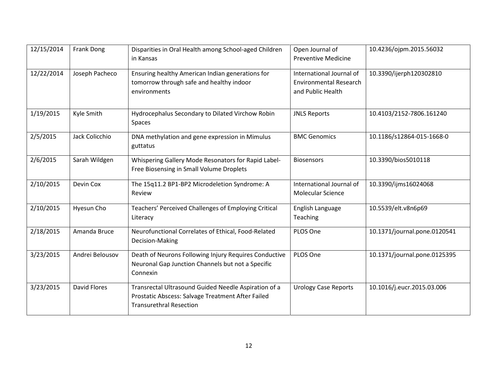| 12/15/2014 | <b>Frank Dong</b> | Disparities in Oral Health among School-aged Children<br>in Kansas                                                                          | Open Journal of<br><b>Preventive Medicine</b>                                  | 10.4236/ojpm.2015.56032      |
|------------|-------------------|---------------------------------------------------------------------------------------------------------------------------------------------|--------------------------------------------------------------------------------|------------------------------|
| 12/22/2014 | Joseph Pacheco    | Ensuring healthy American Indian generations for<br>tomorrow through safe and healthy indoor<br>environments                                | International Journal of<br><b>Environmental Research</b><br>and Public Health | 10.3390/ijerph120302810      |
| 1/19/2015  | Kyle Smith        | Hydrocephalus Secondary to Dilated Virchow Robin<br>Spaces                                                                                  | <b>JNLS Reports</b>                                                            | 10.4103/2152-7806.161240     |
| 2/5/2015   | Jack Colicchio    | DNA methylation and gene expression in Mimulus<br>guttatus                                                                                  | <b>BMC Genomics</b>                                                            | 10.1186/s12864-015-1668-0    |
| 2/6/2015   | Sarah Wildgen     | Whispering Gallery Mode Resonators for Rapid Label-<br>Free Biosensing in Small Volume Droplets                                             | <b>Biosensors</b>                                                              | 10.3390/bios5010118          |
| 2/10/2015  | Devin Cox         | The 15q11.2 BP1-BP2 Microdeletion Syndrome: A<br>Review                                                                                     | International Journal of<br><b>Molecular Science</b>                           | 10.3390/ijms16024068         |
| 2/10/2015  | Hyesun Cho        | Teachers' Perceived Challenges of Employing Critical<br>Literacy                                                                            | English Language<br>Teaching                                                   | 10.5539/elt.v8n6p69          |
| 2/18/2015  | Amanda Bruce      | Neurofunctional Correlates of Ethical, Food-Related<br>Decision-Making                                                                      | PLOS One                                                                       | 10.1371/journal.pone.0120541 |
| 3/23/2015  | Andrei Belousov   | Death of Neurons Following Injury Requires Conductive<br>Neuronal Gap Junction Channels but not a Specific<br>Connexin                      | PLOS One                                                                       | 10.1371/journal.pone.0125395 |
| 3/23/2015  | David Flores      | Transrectal Ultrasound Guided Needle Aspiration of a<br>Prostatic Abscess: Salvage Treatment After Failed<br><b>Transurethral Resection</b> | <b>Urology Case Reports</b>                                                    | 10.1016/j.eucr.2015.03.006   |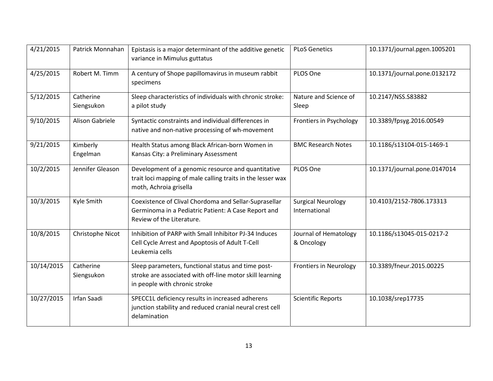| 4/21/2015  | Patrick Monnahan        | Epistasis is a major determinant of the additive genetic<br>variance in Mimulus guttatus                                                        | <b>PLoS Genetics</b>                       | 10.1371/journal.pgen.1005201 |
|------------|-------------------------|-------------------------------------------------------------------------------------------------------------------------------------------------|--------------------------------------------|------------------------------|
| 4/25/2015  | Robert M. Timm          | A century of Shope papillomavirus in museum rabbit<br>specimens                                                                                 | PLOS One                                   | 10.1371/journal.pone.0132172 |
| 5/12/2015  | Catherine<br>Siengsukon | Sleep characteristics of individuals with chronic stroke:<br>a pilot study                                                                      | Nature and Science of<br>Sleep             | 10.2147/NSS.S83882           |
| 9/10/2015  | <b>Alison Gabriele</b>  | Syntactic constraints and individual differences in<br>native and non-native processing of wh-movement                                          | Frontiers in Psychology                    | 10.3389/fpsyg.2016.00549     |
| 9/21/2015  | Kimberly<br>Engelman    | Health Status among Black African-born Women in<br>Kansas City: a Preliminary Assessment                                                        | <b>BMC Research Notes</b>                  | 10.1186/s13104-015-1469-1    |
| 10/2/2015  | Jennifer Gleason        | Development of a genomic resource and quantitative<br>trait loci mapping of male calling traits in the lesser wax<br>moth, Achroia grisella     | PLOS One                                   | 10.1371/journal.pone.0147014 |
| 10/3/2015  | Kyle Smith              | Coexistence of Clival Chordoma and Sellar-Suprasellar<br>Germinoma in a Pediatric Patient: A Case Report and<br>Review of the Literature.       | <b>Surgical Neurology</b><br>International | 10.4103/2152-7806.173313     |
| 10/8/2015  | Christophe Nicot        | Inhibition of PARP with Small Inhibitor PJ-34 Induces<br>Cell Cycle Arrest and Apoptosis of Adult T-Cell<br>Leukemia cells                      | Journal of Hematology<br>& Oncology        | 10.1186/s13045-015-0217-2    |
| 10/14/2015 | Catherine<br>Siengsukon | Sleep parameters, functional status and time post-<br>stroke are associated with off-line motor skill learning<br>in people with chronic stroke | <b>Frontiers in Neurology</b>              | 10.3389/fneur.2015.00225     |
| 10/27/2015 | Irfan Saadi             | SPECC1L deficiency results in increased adherens<br>junction stability and reduced cranial neural crest cell<br>delamination                    | <b>Scientific Reports</b>                  | 10.1038/srep17735            |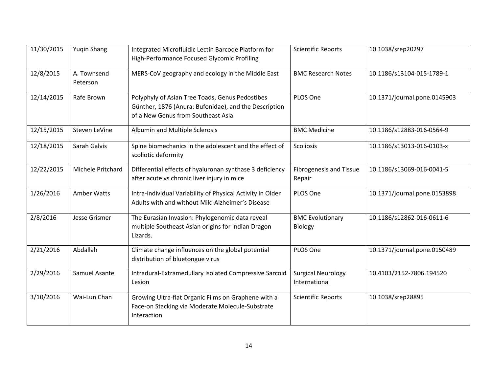| 11/30/2015 | <b>Yugin Shang</b>      | Integrated Microfluidic Lectin Barcode Platform for<br>High-Performance Focused Glycomic Profiling                                             | <b>Scientific Reports</b>                  | 10.1038/srep20297            |
|------------|-------------------------|------------------------------------------------------------------------------------------------------------------------------------------------|--------------------------------------------|------------------------------|
| 12/8/2015  | A. Townsend<br>Peterson | MERS-CoV geography and ecology in the Middle East                                                                                              | <b>BMC Research Notes</b>                  | 10.1186/s13104-015-1789-1    |
| 12/14/2015 | Rafe Brown              | Polyphyly of Asian Tree Toads, Genus Pedostibes<br>Günther, 1876 (Anura: Bufonidae), and the Description<br>of a New Genus from Southeast Asia | PLOS One                                   | 10.1371/journal.pone.0145903 |
| 12/15/2015 | Steven LeVine           | Albumin and Multiple Sclerosis                                                                                                                 | <b>BMC Medicine</b>                        | 10.1186/s12883-016-0564-9    |
| 12/18/2015 | Sarah Galvis            | Spine biomechanics in the adolescent and the effect of<br>scoliotic deformity                                                                  | Scoliosis                                  | 10.1186/s13013-016-0103-x    |
| 12/22/2015 | Michele Pritchard       | Differential effects of hyaluronan synthase 3 deficiency<br>after acute vs chronic liver injury in mice                                        | <b>Fibrogenesis and Tissue</b><br>Repair   | 10.1186/s13069-016-0041-5    |
| 1/26/2016  | Amber Watts             | Intra-individual Variability of Physical Activity in Older<br>Adults with and without Mild Alzheimer's Disease                                 | PLOS One                                   | 10.1371/journal.pone.0153898 |
| 2/8/2016   | Jesse Grismer           | The Eurasian Invasion: Phylogenomic data reveal<br>multiple Southeast Asian origins for Indian Dragon<br>Lizards.                              | <b>BMC Evolutionary</b><br><b>Biology</b>  | 10.1186/s12862-016-0611-6    |
| 2/21/2016  | Abdallah                | Climate change influences on the global potential<br>distribution of bluetongue virus                                                          | PLOS One                                   | 10.1371/journal.pone.0150489 |
| 2/29/2016  | Samuel Asante           | Intradural-Extramedullary Isolated Compressive Sarcoid<br>Lesion                                                                               | <b>Surgical Neurology</b><br>International | 10.4103/2152-7806.194520     |
| 3/10/2016  | Wai-Lun Chan            | Growing Ultra-flat Organic Films on Graphene with a<br>Face-on Stacking via Moderate Molecule-Substrate<br>Interaction                         | <b>Scientific Reports</b>                  | 10.1038/srep28895            |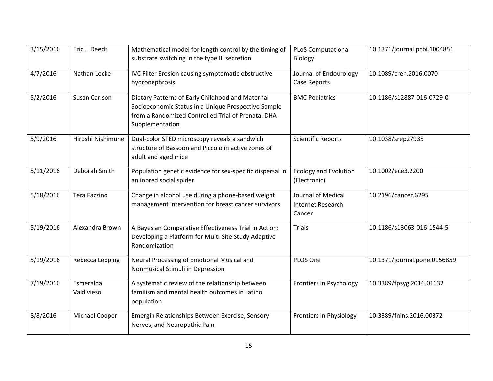| 3/15/2016 | Eric J. Deeds           | Mathematical model for length control by the timing of<br>substrate switching in the type III secretion                                                                          | <b>PLoS Computational</b><br>Biology                     | 10.1371/journal.pcbi.1004851 |
|-----------|-------------------------|----------------------------------------------------------------------------------------------------------------------------------------------------------------------------------|----------------------------------------------------------|------------------------------|
| 4/7/2016  | Nathan Locke            | IVC Filter Erosion causing symptomatic obstructive<br>hydronephrosis                                                                                                             | Journal of Endourology<br>Case Reports                   | 10.1089/cren.2016.0070       |
| 5/2/2016  | Susan Carlson           | Dietary Patterns of Early Childhood and Maternal<br>Socioeconomic Status in a Unique Prospective Sample<br>from a Randomized Controlled Trial of Prenatal DHA<br>Supplementation | <b>BMC Pediatrics</b>                                    | 10.1186/s12887-016-0729-0    |
| 5/9/2016  | Hiroshi Nishimune       | Dual-color STED microscopy reveals a sandwich<br>structure of Bassoon and Piccolo in active zones of<br>adult and aged mice                                                      | <b>Scientific Reports</b>                                | 10.1038/srep27935            |
| 5/11/2016 | Deborah Smith           | Population genetic evidence for sex-specific dispersal in<br>an inbred social spider                                                                                             | <b>Ecology and Evolution</b><br>(Electronic)             | 10.1002/ece3.2200            |
| 5/18/2016 | Tera Fazzino            | Change in alcohol use during a phone-based weight<br>management intervention for breast cancer survivors                                                                         | Journal of Medical<br><b>Internet Research</b><br>Cancer | 10.2196/cancer.6295          |
| 5/19/2016 | Alexandra Brown         | A Bayesian Comparative Effectiveness Trial in Action:<br>Developing a Platform for Multi-Site Study Adaptive<br>Randomization                                                    | Trials                                                   | 10.1186/s13063-016-1544-5    |
| 5/19/2016 | Rebecca Lepping         | Neural Processing of Emotional Musical and<br>Nonmusical Stimuli in Depression                                                                                                   | PLOS One                                                 | 10.1371/journal.pone.0156859 |
| 7/19/2016 | Esmeralda<br>Valdivieso | A systematic review of the relationship between<br>familism and mental health outcomes in Latino<br>population                                                                   | Frontiers in Psychology                                  | 10.3389/fpsyg.2016.01632     |
| 8/8/2016  | Michael Cooper          | Emergin Relationships Between Exercise, Sensory<br>Nerves, and Neuropathic Pain                                                                                                  | <b>Frontiers in Physiology</b>                           | 10.3389/fnins.2016.00372     |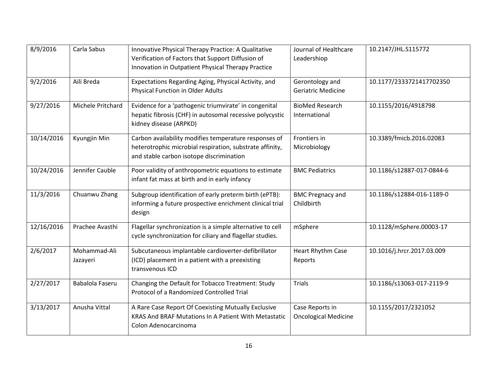| 8/9/2016   | Carla Sabus              | Innovative Physical Therapy Practice: A Qualitative<br>Verification of Factors that Support Diffusion of<br>Innovation in Outpatient Physical Therapy Practice | Journal of Healthcare<br>Leadershiop           | 10.2147/JHL.S115772        |
|------------|--------------------------|----------------------------------------------------------------------------------------------------------------------------------------------------------------|------------------------------------------------|----------------------------|
| 9/2/2016   | Aili Breda               | Expectations Regarding Aging, Physical Activity, and<br><b>Physical Function in Older Adults</b>                                                               | Gerontology and<br><b>Geriatric Medicine</b>   | 10.1177/2333721417702350   |
| 9/27/2016  | Michele Pritchard        | Evidence for a 'pathogenic triumvirate' in congenital<br>hepatic fibrosis (CHF) in autosomal recessive polycystic<br>kidney disease (ARPKD)                    | <b>BioMed Research</b><br>International        | 10.1155/2016/4918798       |
| 10/14/2016 | Kyungjin Min             | Carbon availability modifies temperature responses of<br>heterotrophic microbial respiration, substrate affinity,<br>and stable carbon isotope discrimination  | Frontiers in<br>Microbiology                   | 10.3389/fmicb.2016.02083   |
| 10/24/2016 | Jennifer Cauble          | Poor validity of anthropometric equations to estimate<br>infant fat mass at birth and in early infancy                                                         | <b>BMC Pediatrics</b>                          | 10.1186/s12887-017-0844-6  |
| 11/3/2016  | Chuanwu Zhang            | Subgroup identification of early preterm birth (ePTB):<br>informing a future prospective enrichment clinical trial<br>design                                   | <b>BMC Pregnacy and</b><br>Childbirth          | 10.1186/s12884-016-1189-0  |
| 12/16/2016 | Prachee Avasthi          | Flagellar synchronization is a simple alternative to cell<br>cycle synchronization for ciliary and flagellar studies.                                          | mSphere                                        | 10.1128/mSphere.00003-17   |
| 2/6/2017   | Mohammad-Ali<br>Jazayeri | Subcutaneous implantable cardioverter-defibrillator<br>(ICD) placement in a patient with a preexisting<br>transvenous ICD                                      | Heart Rhythm Case<br>Reports                   | 10.1016/j.hrcr.2017.03.009 |
| 2/27/2017  | Babalola Faseru          | Changing the Default for Tobacco Treatment: Study<br>Protocol of a Randomized Controlled Trial                                                                 | <b>Trials</b>                                  | 10.1186/s13063-017-2119-9  |
| 3/13/2017  | Anusha Vittal            | A Rare Case Report Of Coexisting Mutually Exclusive<br>KRAS And BRAF Mutations In A Patient With Metastatic<br>Colon Adenocarcinoma                            | Case Reports in<br><b>Oncological Medicine</b> | 10.1155/2017/2321052       |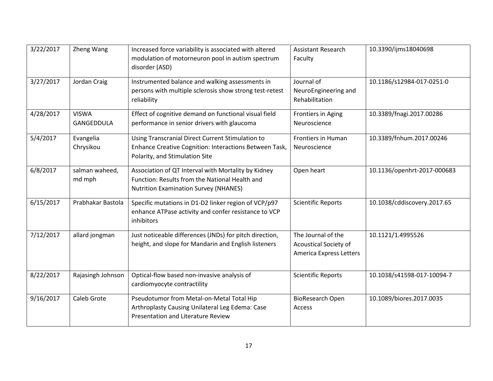| 3/22/2017 | Zheng Wang                 | Increased force variability is associated with altered<br>modulation of motorneuron pool in autism spectrum<br>disorder (ASD)                         | <b>Assistant Research</b><br>Faculty                                          | 10.3390/ijms18040698        |
|-----------|----------------------------|-------------------------------------------------------------------------------------------------------------------------------------------------------|-------------------------------------------------------------------------------|-----------------------------|
| 3/27/2017 | Jordan Craig               | Instrumented balance and walking assessments in<br>persons with multiple sclerosis show strong test-retest<br>reliability                             | Journal of<br>NeuroEngineering and<br>Rehabilitation                          | 10.1186/s12984-017-0251-0   |
| 4/28/2017 | <b>VISWA</b><br>GANGEDDULA | Effect of cognitive demand on functional visual field<br>performance in senior drivers with glaucoma                                                  | Frontiers in Aging<br>Neuroscience                                            | 10.3389/fnagi.2017.00286    |
| 5/4/2017  | Evangelia<br>Chrysikou     | Using Transcranial Direct Current Stimulation to<br>Enhance Creative Cognition: Interactions Between Task,<br>Polarity, and Stimulation Site          | Frontiers in Human<br>Neuroscience                                            | 10.3389/fnhum.2017.00246    |
| 6/8/2017  | salman waheed,<br>md mph   | Association of QT Interval with Mortality by Kidney<br>Function: Results from the National Health and<br><b>Nutrition Examination Survey (NHANES)</b> | Open heart                                                                    | 10.1136/openhrt-2017-000683 |
| 6/15/2017 | Prabhakar Bastola          | Specific mutations in D1-D2 linker region of VCP/p97<br>enhance ATPase activity and confer resistance to VCP<br>inhibitors                            | <b>Scientific Reports</b>                                                     | 10.1038/cddiscovery.2017.65 |
| 7/12/2017 | allard jongman             | Just noticeable differences (JNDs) for pitch direction,<br>height, and slope for Mandarin and English listeners                                       | The Journal of the<br><b>Acoustical Society of</b><br>America Express Letters | 10.1121/1.4995526           |
| 8/22/2017 | Rajasingh Johnson          | Optical-flow based non-invasive analysis of<br>cardiomyocyte contractility                                                                            | <b>Scientific Reports</b>                                                     | 10.1038/s41598-017-10094-7  |
| 9/16/2017 | Caleb Grote                | Pseudotumor from Metal-on-Metal Total Hip<br>Arthroplasty Causing Unilateral Leg Edema: Case<br>Presentation and Literature Review                    | <b>BioResearch Open</b><br>Access                                             | 10.1089/biores.2017.0035    |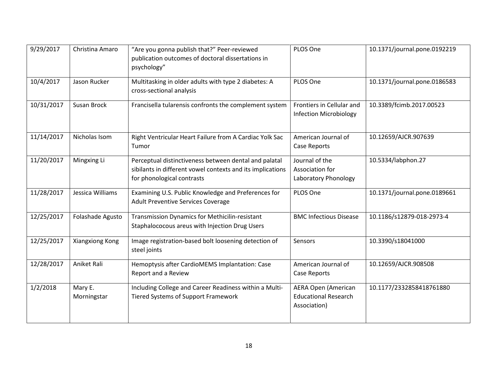| 9/29/2017  | Christina Amaro        | "Are you gonna publish that?" Peer-reviewed<br>publication outcomes of doctoral dissertations in<br>psychology"                                   | PLOS One                                                                  | 10.1371/journal.pone.0192219 |
|------------|------------------------|---------------------------------------------------------------------------------------------------------------------------------------------------|---------------------------------------------------------------------------|------------------------------|
| 10/4/2017  | Jason Rucker           | Multitasking in older adults with type 2 diabetes: A<br>cross-sectional analysis                                                                  | PLOS One                                                                  | 10.1371/journal.pone.0186583 |
| 10/31/2017 | Susan Brock            | Francisella tularensis confronts the complement system                                                                                            | Frontiers in Cellular and<br><b>Infection Microbiology</b>                | 10.3389/fcimb.2017.00523     |
| 11/14/2017 | Nicholas Isom          | Right Ventricular Heart Failure from A Cardiac Yolk Sac<br>Tumor                                                                                  | American Journal of<br>Case Reports                                       | 10.12659/AJCR.907639         |
| 11/20/2017 | Mingxing Li            | Perceptual distinctiveness between dental and palatal<br>sibilants in different vowel contexts and its implications<br>for phonological contrasts | Journal of the<br>Association for<br>Laboratory Phonology                 | 10.5334/labphon.27           |
| 11/28/2017 | Jessica Williams       | Examining U.S. Public Knowledge and Preferences for<br><b>Adult Preventive Services Coverage</b>                                                  | PLOS One                                                                  | 10.1371/journal.pone.0189661 |
| 12/25/2017 | Folashade Agusto       | Transmission Dynamics for Methicilin-resistant<br>Staphalococous areus with Injection Drug Users                                                  | <b>BMC Infectious Disease</b>                                             | 10.1186/s12879-018-2973-4    |
| 12/25/2017 | Xiangxiong Kong        | Image registration-based bolt loosening detection of<br>steel joints                                                                              | Sensors                                                                   | 10.3390/s18041000            |
| 12/28/2017 | Aniket Rali            | Hemoptysis after CardioMEMS Implantation: Case<br>Report and a Review                                                                             | American Journal of<br>Case Reports                                       | 10.12659/AJCR.908508         |
| 1/2/2018   | Mary E.<br>Morningstar | Including College and Career Readiness within a Multi-<br>Tiered Systems of Support Framework                                                     | <b>AERA Open (American</b><br><b>Educational Research</b><br>Association) | 10.1177/2332858418761880     |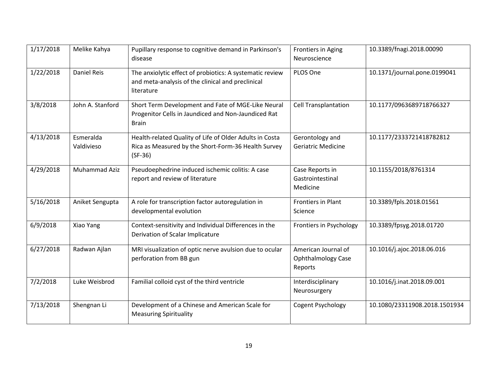| 1/17/2018 | Melike Kahya       | Pupillary response to cognitive demand in Parkinson's    | <b>Frontiers in Aging</b>   | 10.3389/fnagi.2018.00090      |
|-----------|--------------------|----------------------------------------------------------|-----------------------------|-------------------------------|
|           |                    | disease                                                  | Neuroscience                |                               |
| 1/22/2018 | <b>Daniel Reis</b> | The anxiolytic effect of probiotics: A systematic review | PLOS One                    | 10.1371/journal.pone.0199041  |
|           |                    | and meta-analysis of the clinical and preclinical        |                             |                               |
|           |                    | literature                                               |                             |                               |
| 3/8/2018  | John A. Stanford   | Short Term Development and Fate of MGE-Like Neural       | <b>Cell Transplantation</b> | 10.1177/0963689718766327      |
|           |                    | Progenitor Cells in Jaundiced and Non-Jaundiced Rat      |                             |                               |
|           |                    | <b>Brain</b>                                             |                             |                               |
| 4/13/2018 | Esmeralda          | Health-related Quality of Life of Older Adults in Costa  | Gerontology and             | 10.1177/2333721418782812      |
|           | Valdivieso         | Rica as Measured by the Short-Form-36 Health Survey      | <b>Geriatric Medicine</b>   |                               |
|           |                    | $(SF-36)$                                                |                             |                               |
| 4/29/2018 | Muhammad Aziz      | Pseudoephedrine induced ischemic colitis: A case         | Case Reports in             | 10.1155/2018/8761314          |
|           |                    | report and review of literature                          | Gastrointestinal            |                               |
|           |                    |                                                          | Medicine                    |                               |
| 5/16/2018 | Aniket Sengupta    | A role for transcription factor autoregulation in        | Frontiers in Plant          | 10.3389/fpls.2018.01561       |
|           |                    | developmental evolution                                  | Science                     |                               |
| 6/9/2018  | Xiao Yang          | Context-sensitivity and Individual Differences in the    | Frontiers in Psychology     | 10.3389/fpsyg.2018.01720      |
|           |                    | Derivation of Scalar Implicature                         |                             |                               |
| 6/27/2018 | Radwan Ajlan       | MRI visualization of optic nerve avulsion due to ocular  | American Journal of         | 10.1016/j.ajoc.2018.06.016    |
|           |                    | perforation from BB gun                                  | <b>Ophthalmology Case</b>   |                               |
|           |                    |                                                          | Reports                     |                               |
| 7/2/2018  | Luke Weisbrod      | Familial colloid cyst of the third ventricle             | Interdisciplinary           | 10.1016/j.inat.2018.09.001    |
|           |                    |                                                          | Neurosurgery                |                               |
| 7/13/2018 | Shengnan Li        | Development of a Chinese and American Scale for          | Cogent Psychology           | 10.1080/23311908.2018.1501934 |
|           |                    | <b>Measuring Spirituality</b>                            |                             |                               |
|           |                    |                                                          |                             |                               |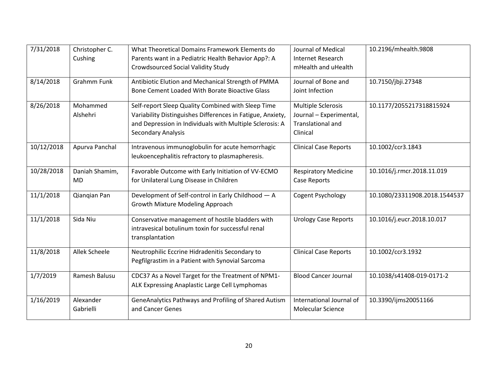| 7/31/2018  | Christopher C.<br>Cushing   | What Theoretical Domains Framework Elements do<br>Parents want in a Pediatric Health Behavior App?: A<br><b>Crowdsourced Social Validity Study</b>                                                 | Journal of Medical<br>Internet Research<br>mHealth and uHealth                               | 10.2196/mhealth.9808          |
|------------|-----------------------------|----------------------------------------------------------------------------------------------------------------------------------------------------------------------------------------------------|----------------------------------------------------------------------------------------------|-------------------------------|
| 8/14/2018  | <b>Grahmm Funk</b>          | Antibiotic Elution and Mechanical Strength of PMMA<br>Bone Cement Loaded With Borate Bioactive Glass                                                                                               | Journal of Bone and<br>Joint Infection                                                       | 10.7150/jbji.27348            |
| 8/26/2018  | Mohammed<br>Alshehri        | Self-report Sleep Quality Combined with Sleep Time<br>Variability Distinguishes Differences in Fatigue, Anxiety,<br>and Depression in Individuals with Multiple Sclerosis: A<br>Secondary Analysis | <b>Multiple Sclerosis</b><br>Journal - Experimental,<br><b>Translational and</b><br>Clinical | 10.1177/2055217318815924      |
| 10/12/2018 | Apurva Panchal              | Intravenous immunoglobulin for acute hemorrhagic<br>leukoencephalitis refractory to plasmapheresis.                                                                                                | <b>Clinical Case Reports</b>                                                                 | 10.1002/ccr3.1843             |
| 10/28/2018 | Daniah Shamim,<br><b>MD</b> | Favorable Outcome with Early Initiation of VV-ECMO<br>for Unilateral Lung Disease in Children                                                                                                      | <b>Respiratory Medicine</b><br>Case Reports                                                  | 10.1016/j.rmcr.2018.11.019    |
| 11/1/2018  | Qiangian Pan                | Development of Self-control in Early Childhood - A<br>Growth Mixture Modeling Approach                                                                                                             | Cogent Psychology                                                                            | 10.1080/23311908.2018.1544537 |
| 11/1/2018  | Sida Niu                    | Conservative management of hostile bladders with<br>intravesical botulinum toxin for successful renal<br>transplantation                                                                           | <b>Urology Case Reports</b>                                                                  | 10.1016/j.eucr.2018.10.017    |
| 11/8/2018  | Allek Scheele               | Neutrophilic Eccrine Hidradenitis Secondary to<br>Pegfilgrastim in a Patient with Synovial Sarcoma                                                                                                 | <b>Clinical Case Reports</b>                                                                 | 10.1002/ccr3.1932             |
| 1/7/2019   | Ramesh Balusu               | CDC37 As a Novel Target for the Treatment of NPM1-<br>ALK Expressing Anaplastic Large Cell Lymphomas                                                                                               | <b>Blood Cancer Journal</b>                                                                  | 10.1038/s41408-019-0171-2     |
| 1/16/2019  | Alexander<br>Gabrielli      | GeneAnalytics Pathways and Profiling of Shared Autism<br>and Cancer Genes                                                                                                                          | International Journal of<br><b>Molecular Science</b>                                         | 10.3390/ijms20051166          |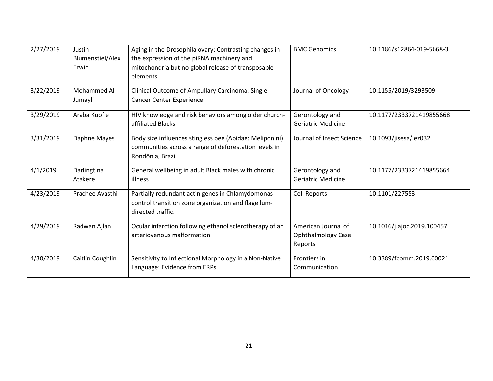| 2/27/2019 | Justin<br><b>Blumenstiel/Alex</b><br>Erwin | Aging in the Drosophila ovary: Contrasting changes in<br>the expression of the piRNA machinery and<br>mitochondria but no global release of transposable<br>elements. | <b>BMC Genomics</b>                                         | 10.1186/s12864-019-5668-3  |
|-----------|--------------------------------------------|-----------------------------------------------------------------------------------------------------------------------------------------------------------------------|-------------------------------------------------------------|----------------------------|
| 3/22/2019 | Mohammed Al-<br>Jumayli                    | Clinical Outcome of Ampullary Carcinoma: Single<br><b>Cancer Center Experience</b>                                                                                    | Journal of Oncology                                         | 10.1155/2019/3293509       |
| 3/29/2019 | Araba Kuofie                               | HIV knowledge and risk behaviors among older church-<br>affiliated Blacks                                                                                             | Gerontology and<br><b>Geriatric Medicine</b>                | 10.1177/2333721419855668   |
| 3/31/2019 | Daphne Mayes                               | Body size influences stingless bee (Apidae: Meliponini)<br>communities across a range of deforestation levels in<br>Rondônia, Brazil                                  | Journal of Insect Science                                   | 10.1093/jisesa/iez032      |
| 4/1/2019  | Darlingtina<br>Atakere                     | General wellbeing in adult Black males with chronic<br>illness                                                                                                        | Gerontology and<br><b>Geriatric Medicine</b>                | 10.1177/2333721419855664   |
| 4/23/2019 | Prachee Avasthi                            | Partially redundant actin genes in Chlamydomonas<br>control transition zone organization and flagellum-<br>directed traffic.                                          | <b>Cell Reports</b>                                         | 10.1101/227553             |
| 4/29/2019 | Radwan Ajlan                               | Ocular infarction following ethanol sclerotherapy of an<br>arteriovenous malformation                                                                                 | American Journal of<br><b>Ophthalmology Case</b><br>Reports | 10.1016/j.ajoc.2019.100457 |
| 4/30/2019 | Caitlin Coughlin                           | Sensitivity to Inflectional Morphology in a Non-Native<br>Language: Evidence from ERPs                                                                                | Frontiers in<br>Communication                               | 10.3389/fcomm.2019.00021   |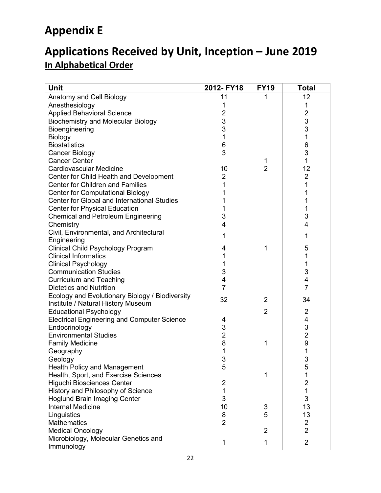# **Appendix E**

# **Applications Received by Unit, Inception – June 2019 In Alphabetical Order**

| <b>Unit</b>                                        | 2012-FY18      | <b>FY19</b>    | <b>Total</b>            |
|----------------------------------------------------|----------------|----------------|-------------------------|
| Anatomy and Cell Biology                           | 11             | 1              | 12                      |
| Anesthesiology                                     | 1              |                | 1                       |
| <b>Applied Behavioral Science</b>                  | $\overline{2}$ |                | $\overline{2}$          |
| <b>Biochemistry and Molecular Biology</b>          | 3              |                |                         |
| Bioengineering                                     | 3              |                | $\frac{3}{3}$           |
| Biology                                            | 1              |                | 1                       |
| <b>Biostatistics</b>                               | 6              |                | 6                       |
| Cancer Biology                                     | 3              |                | 3                       |
| <b>Cancer Center</b>                               |                | 1              | $\mathbf{1}$            |
| <b>Cardiovascular Medicine</b>                     | 10             | $\overline{2}$ | 12                      |
| Center for Child Health and Development            | 2              |                | $\overline{2}$          |
| <b>Center for Children and Families</b>            | 1              |                | 1                       |
| <b>Center for Computational Biology</b>            |                |                | 1                       |
| Center for Global and International Studies        |                |                | 1                       |
| <b>Center for Physical Education</b>               | 1              |                | 1                       |
| <b>Chemical and Petroleum Engineering</b>          | 3              |                | 3                       |
| Chemistry                                          | 4              |                | 4                       |
| Civil, Environmental, and Architectural            |                |                |                         |
| Engineering                                        | 1              |                | 1                       |
| Clinical Child Psychology Program                  | 4              | 1              | 5                       |
| <b>Clinical Informatics</b>                        | 1              |                | 1                       |
| <b>Clinical Psychology</b>                         | 1              |                | 1                       |
| <b>Communication Studies</b>                       | 3              |                | 3                       |
| <b>Curriculum and Teaching</b>                     | 4              |                | 4                       |
| <b>Dietetics and Nutrition</b>                     | $\overline{7}$ |                | $\overline{7}$          |
| Ecology and Evolutionary Biology / Biodiversity    | 32             | 2              | 34                      |
| Institute / Natural History Museum                 |                |                |                         |
| <b>Educational Psychology</b>                      |                | $\overline{2}$ | $\overline{2}$          |
| <b>Electrical Engineering and Computer Science</b> | 4              |                | 4                       |
| Endocrinology                                      | 3              |                | 3                       |
| <b>Environmental Studies</b>                       | $\overline{2}$ |                | $\overline{2}$          |
| <b>Family Medicine</b>                             | 8              | 1              | 9                       |
| Geography                                          | 1              |                | 1                       |
| Geology                                            | 3              |                | 3                       |
| <b>Health Policy and Management</b>                | 5              |                | 5                       |
| Health, Sport, and Exercise Sciences               |                | 1              |                         |
| Higuchi Biosciences Center                         | $\overline{2}$ |                | $\overline{\mathbf{c}}$ |
| History and Philosophy of Science                  | 1              |                | 1                       |
| <b>Hoglund Brain Imaging Center</b>                | 3              |                | 3                       |
| <b>Internal Medicine</b>                           | 10             | 3              | 13                      |
| Linguistics                                        | 8              | 5              | 13                      |
| <b>Mathematics</b>                                 | $\overline{2}$ |                | $\overline{\mathbf{c}}$ |
| <b>Medical Oncology</b>                            |                | $\overline{2}$ | $\overline{2}$          |
| Microbiology, Molecular Genetics and               | 1              | 1              | $\overline{2}$          |
| Immunology                                         |                |                |                         |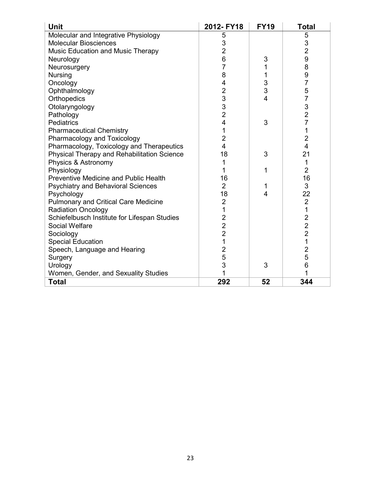| <b>Unit</b>                                  | 2012-FY18      | <b>FY19</b>             | Total          |
|----------------------------------------------|----------------|-------------------------|----------------|
| Molecular and Integrative Physiology         | 5              |                         | 5              |
| <b>Molecular Biosciences</b>                 | 3              |                         | $\mathsf 3$    |
| Music Education and Music Therapy            | $\overline{2}$ |                         | $\overline{2}$ |
| Neurology                                    | 6              | 3                       | 9              |
| Neurosurgery                                 | 7              | 1                       | 8              |
| <b>Nursing</b>                               | 8              | 1                       | 9              |
| Oncology                                     | 4              | 3                       | $\overline{7}$ |
| Ophthalmology                                | $\overline{c}$ | 3                       | 5              |
| Orthopedics                                  | 3              | $\overline{\mathbf{4}}$ | 7              |
| Otolaryngology                               | 3              |                         | 3              |
| Pathology                                    | $\overline{2}$ |                         | $\overline{2}$ |
| <b>Pediatrics</b>                            | 4              | 3                       | $\overline{7}$ |
| <b>Pharmaceutical Chemistry</b>              | 1              |                         | 1              |
| Pharmacology and Toxicology                  | $\overline{2}$ |                         | $\overline{2}$ |
| Pharmacology, Toxicology and Therapeutics    | 4              |                         | 4              |
| Physical Therapy and Rehabilitation Science  | 18             | 3                       | 21             |
| Physics & Astronomy                          |                |                         | 1              |
| Physiology                                   | 1              | 1                       | $\overline{2}$ |
| Preventive Medicine and Public Health        | 16             |                         | 16             |
| <b>Psychiatry and Behavioral Sciences</b>    | $\overline{2}$ | 1                       | 3              |
| Psychology                                   | 18             | 4                       | 22             |
| Pulmonary and Critical Care Medicine         | $\overline{2}$ |                         | $\overline{2}$ |
| <b>Radiation Oncology</b>                    | 1              |                         | $\mathbf 1$    |
| Schiefelbusch Institute for Lifespan Studies | $\overline{2}$ |                         | $\overline{2}$ |
| <b>Social Welfare</b>                        | $\overline{2}$ |                         | $\overline{2}$ |
| Sociology                                    | $\overline{2}$ |                         | $\overline{2}$ |
| <b>Special Education</b>                     | 1              |                         | $\mathbf 1$    |
| Speech, Language and Hearing                 | $\overline{2}$ |                         | $\overline{2}$ |
| Surgery                                      | 5              |                         | 5              |
| Urology                                      | 3              | 3                       | 6              |
| Women, Gender, and Sexuality Studies         |                |                         |                |
| <b>Total</b>                                 | 292            | 52                      | 344            |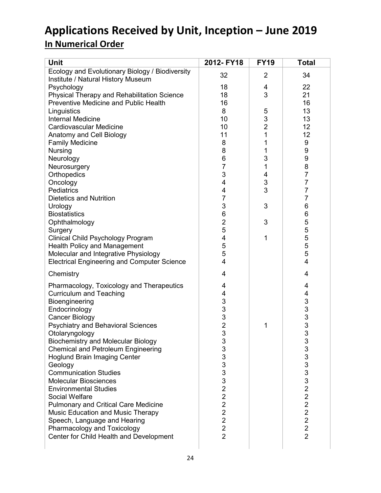# **Applications Received by Unit, Inception – June 2019 In Numerical Order**

| Unit                                               | 2012- FY18                       | <b>FY19</b>         | <b>Total</b>                              |
|----------------------------------------------------|----------------------------------|---------------------|-------------------------------------------|
| Ecology and Evolutionary Biology / Biodiversity    | 32                               | $\overline{2}$      | 34                                        |
| Institute / Natural History Museum                 |                                  |                     |                                           |
| Psychology                                         | 18                               | 4                   | 22                                        |
| Physical Therapy and Rehabilitation Science        | 18                               | 3                   | 21                                        |
| <b>Preventive Medicine and Public Health</b>       | 16                               |                     | 16                                        |
| Linguistics<br><b>Internal Medicine</b>            | 8<br>10                          | 5                   | 13<br>13                                  |
| <b>Cardiovascular Medicine</b>                     | 10                               | 3<br>$\overline{2}$ | 12                                        |
| Anatomy and Cell Biology                           | 11                               | 1                   | 12                                        |
| <b>Family Medicine</b>                             | 8                                | 1                   | 9                                         |
| <b>Nursing</b>                                     | 8                                | 1                   | 9                                         |
| Neurology                                          | $\,6$                            | 3                   | 9                                         |
| Neurosurgery                                       | $\overline{7}$                   | 1                   | 8                                         |
| Orthopedics                                        | 3                                | 4                   | $\overline{7}$                            |
| Oncology                                           | 4                                | 3                   | 7                                         |
| Pediatrics                                         | 4                                | 3                   | 7                                         |
| <b>Dietetics and Nutrition</b>                     | $\overline{7}$                   |                     | 7                                         |
| Urology                                            | 3                                | 3                   | 6                                         |
| <b>Biostatistics</b>                               | $\,6$                            |                     | 6                                         |
| Ophthalmology                                      | $\overline{2}$                   | 3                   | 5                                         |
| Surgery                                            | 5                                |                     | $\frac{5}{5}$                             |
| Clinical Child Psychology Program                  | 4                                | 1                   |                                           |
| <b>Health Policy and Management</b>                | 5                                |                     | 5                                         |
| Molecular and Integrative Physiology               | 5                                |                     | 5                                         |
| <b>Electrical Engineering and Computer Science</b> | 4                                |                     | 4                                         |
| Chemistry                                          | 4                                |                     | 4                                         |
| Pharmacology, Toxicology and Therapeutics          | 4                                |                     | 4                                         |
| <b>Curriculum and Teaching</b>                     | 4                                |                     | 4                                         |
| Bioengineering                                     | 3                                |                     |                                           |
| Endocrinology                                      | 3                                |                     | $\begin{array}{c}\n33 \\ 33\n\end{array}$ |
| <b>Cancer Biology</b>                              | 3                                |                     |                                           |
| <b>Psychiatry and Behavioral Sciences</b>          | $\overline{2}$                   | 1                   |                                           |
| Otolaryngology                                     | 3                                |                     |                                           |
| <b>Biochemistry and Molecular Biology</b>          | 3                                |                     | 3                                         |
| <b>Chemical and Petroleum Engineering</b>          | 3                                |                     |                                           |
| <b>Hoglund Brain Imaging Center</b>                | 3                                |                     |                                           |
| Geology                                            | 3                                |                     |                                           |
| <b>Communication Studies</b>                       | 3                                |                     |                                           |
| <b>Molecular Biosciences</b>                       | 3                                |                     |                                           |
| <b>Environmental Studies</b><br>Social Welfare     | $\overline{c}$<br>$\overline{2}$ |                     |                                           |
| <b>Pulmonary and Critical Care Medicine</b>        | $\overline{2}$                   |                     | 3333222                                   |
| <b>Music Education and Music Therapy</b>           | $\overline{2}$                   |                     | $\overline{2}$                            |
| Speech, Language and Hearing                       | $\overline{2}$                   |                     | $\overline{2}$                            |
| Pharmacology and Toxicology                        | $\overline{2}$                   |                     | $\overline{2}$                            |
| Center for Child Health and Development            | $\overline{2}$                   |                     | $\overline{2}$                            |
|                                                    |                                  |                     |                                           |